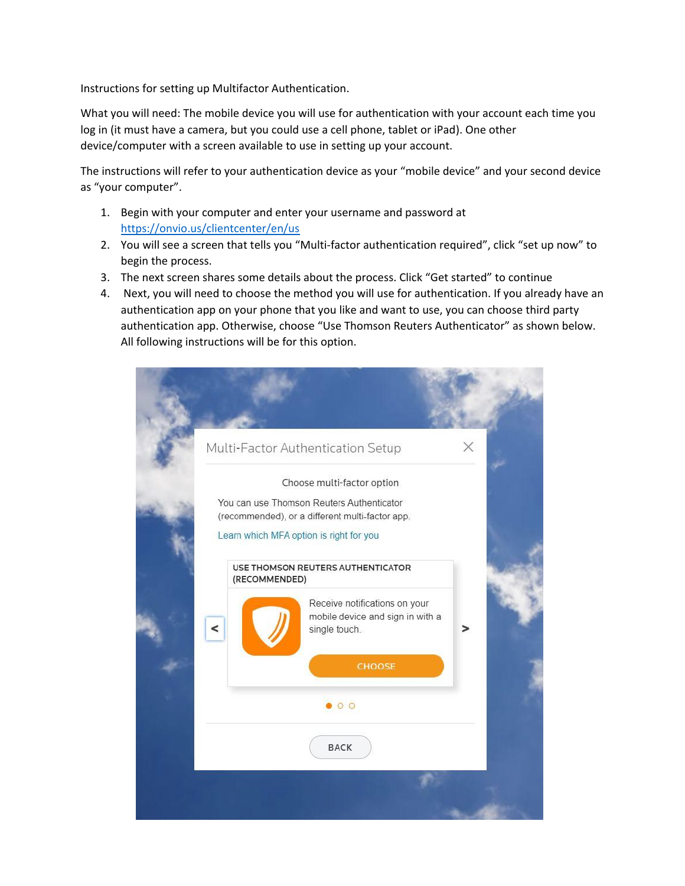Instructions for setting up Multifactor Authentication.

What you will need: The mobile device you will use for authentication with your account each time you log in (it must have a camera, but you could use a cell phone, tablet or iPad). One other device/computer with a screen available to use in setting up your account.

The instructions will refer to your authentication device as your "mobile device" and your second device as "your computer".

- 1. Begin with your computer and enter your username and password at <https://onvio.us/clientcenter/en/us>
- 2. You will see a screen that tells you "Multi-factor authentication required", click "set up now" to begin the process.
- 3. The next screen shares some details about the process. Click "Get started" to continue
- 4. Next, you will need to choose the method you will use for authentication. If you already have an authentication app on your phone that you like and want to use, you can choose third party authentication app. Otherwise, choose "Use Thomson Reuters Authenticator" as shown below. All following instructions will be for this option.

|  | Multi-Factor Authentication Setup       |                                                                                              |                                                                   | $\times$ |  |
|--|-----------------------------------------|----------------------------------------------------------------------------------------------|-------------------------------------------------------------------|----------|--|
|  |                                         |                                                                                              | Choose multi-factor option                                        |          |  |
|  |                                         | You can use Thomson Reuters Authenticator<br>(recommended), or a different multi-factor app. |                                                                   |          |  |
|  | Learn which MFA option is right for you |                                                                                              |                                                                   |          |  |
|  |                                         | USE THOMSON REUTERS AUTHENTICATOR<br>(RECOMMENDED)                                           |                                                                   |          |  |
|  |                                         |                                                                                              | Receive notifications on your<br>mobile device and sign in with a |          |  |
|  | ≺                                       |                                                                                              | single touch.                                                     |          |  |
|  |                                         |                                                                                              | CHOOSE                                                            |          |  |
|  | $\bullet$ 0 0                           |                                                                                              |                                                                   |          |  |
|  |                                         |                                                                                              | <b>BACK</b>                                                       |          |  |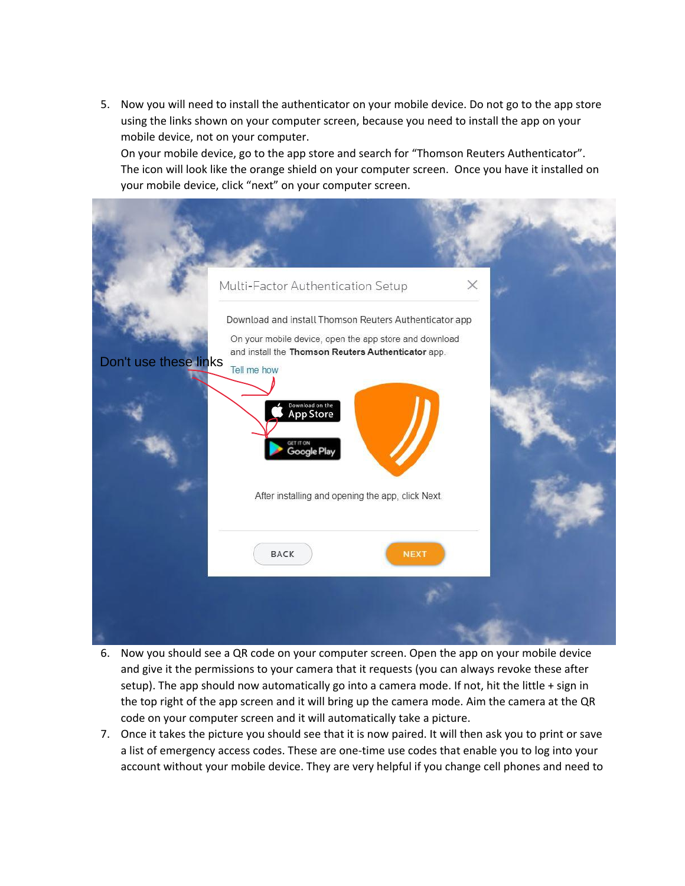5. Now you will need to install the authenticator on your mobile device. Do not go to the app store using the links shown on your computer screen, because you need to install the app on your mobile device, not on your computer.

On your mobile device, go to the app store and search for "Thomson Reuters Authenticator". The icon will look like the orange shield on your computer screen. Once you have it installed on your mobile device, click "next" on your computer screen.



- 6. Now you should see a QR code on your computer screen. Open the app on your mobile device and give it the permissions to your camera that it requests (you can always revoke these after setup). The app should now automatically go into a camera mode. If not, hit the little + sign in the top right of the app screen and it will bring up the camera mode. Aim the camera at the QR code on your computer screen and it will automatically take a picture.
- 7. Once it takes the picture you should see that it is now paired. It will then ask you to print or save a list of emergency access codes. These are one-time use codes that enable you to log into your account without your mobile device. They are very helpful if you change cell phones and need to